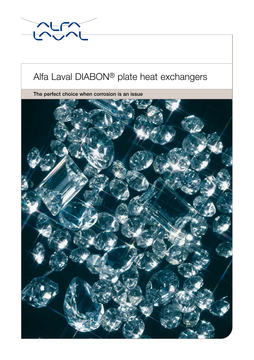

# Alfa Laval DIABON® plate heat exchangers

The perfect choice when corrosion is an issue

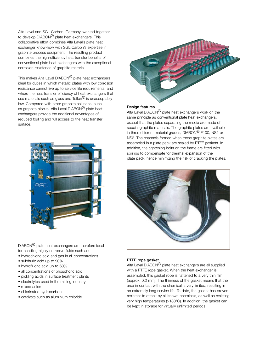Alfa Laval and SGL Carbon, Germany, worked together to develop DIABON® plate heat exchangers. This collaborative effort combines Alfa Laval's plate heat exchanger know-how with SGL Carbon's expertise in graphite process equipment. The resulting product combines the high-efficiency heat transfer benefits of conventional plate heat exchangers with the exceptional corrosion resistance of graphite material.

This makes Alfa Laval DIABON<sup>®</sup> plate heat exchangers ideal for duties in which metallic plates with low corrosion resistance cannot live up to service life requirements, and where the heat transfer efficiency of heat exchangers that use materials such as glass and  $\text{Teflon}^{\textcircled{\text{R}}}$  is unacceptably low. Compared with other graphite solutions, such as graphite blocks, Alfa Laval DIABON<sup>®</sup> plate heat exchangers provide the additional advantages of reduced fouling and full access to the heat transfer surface.



DIABON® plate heat exchangers are therefore ideal for handling highly corrosive fluids such as:

- hydrochloric acid and gas in all concentrations
- sulphuric acid up to 90%
- hydrofluoric acid up to 60%
- all concentrations of phosphoric acid
- pickling acids in surface treatment plants
- electrolytes used in the mining industry
- mixed acids
- chlorinated hydrocarbons
- catalysts such as aluminium chloride.



#### Design features

Alfa Laval DIABON® plate heat exchangers work on the same principle as conventional plate heat exchangers, except that the plates separating the media are made of special graphite materials. The graphite plates are available in three different material grades, DIABON® F100, NS1 or NS2. The channels formed when these graphite plates are assembled in a plate pack are sealed by PTFE gaskets. In addition, the tightening bolts on the frame are fitted with springs to compensate for thermal expansion of the plate pack, hence minimizing the risk of cracking the plates.



#### PTFE rope gasket

Alfa Laval DIABON® plate heat exchangers are all supplied with a PTFE rope gasket. When the heat exchanger is assembled, this gasket rope is flattened to a very thin film (approx. 0.2 mm). The thinness of the gasket means that the area in contact with the chemical is very limited, resulting in an extremely long service life. To date, the gasket has proved resistant to attack by all known chemicals, as well as resisting very high temperatures (>180°C). In addition, the gasket can be kept in storage for virtually unlimited periods.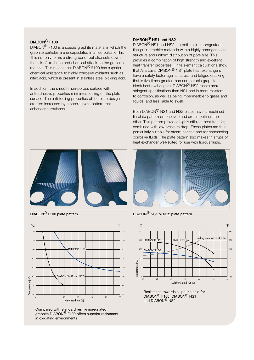## DIABON® F100

DIABON® F100 is a special graphite material in which the graphite particles are encapsulated in a fluoroplastic film. This not only forms a strong bond, but also cuts down the risk of oxidation and chemical attack on the graphite material. This means that DIABON<sup>®</sup> F100 has superior chemical resistance to highly corrosive oxidants such as nitric acid, which is present in stainless steel pickling acid.

In addition, the smooth non-porous surface with anti-adhesive properties minimizes fouling on the plate surface. The anti-fouling properties of the plate design are also increased by a special plate pattern that enhances turbulence.

### DIABON® NS1 and NS2

DIABON® NS1 and NS2 are both resin-impregnated fine-grain graphite materials with a highly homogeneous structure and uniform distribution of pore size. This provides a combination of high strength and excellent heat transfer properties. Finite element calculations show that Alfa Laval DIABON® NS1 plate heat exchangers have a safety factor against stress and fatigue cracking that is five times greater than comparable graphite block heat exchangers. DIABON<sup>®</sup> NS2 meets more stringent specifications than NS1 and is more resistant to corrosion, as well as being impermeable to gases and liquids, and less liable to swell.

Both DIABON® NS1 and NS2 plates have a machined fin plate pattern on one side and are smooth on the other. This pattern provides highly efficient heat transfer, combined with low pressure drop. These plates are thus particularly suitable for steam heating and for condensing corrosive fluids. The plate pattern also makes this type of heat exchanger well-suited for use with fibrous fluids.



DIABON® F100 plate pattern



Compared with standard resin-impregnated graphite DIABON® F100 offers superior resistance in oxidating environments



DIABON® NS1 or NS2 plate pattern



Resistance towards sulphuric acid for DIABON® F100, DIABON® NS1 and DIABON<sup>®</sup> NS2